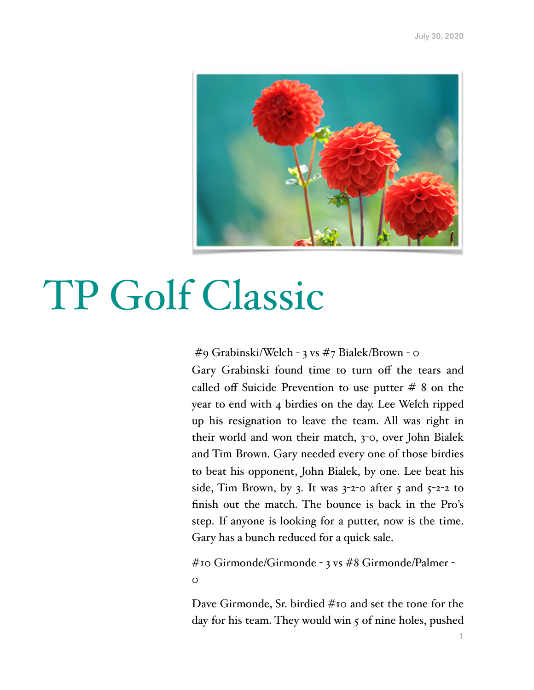

## TP Golf Classic

#9 Grabinski/Welch - 3 vs #7 Bialek/Brown - 0

Gary Grabinski found time to turn off the tears and called off Suicide Prevention to use putter  $# 8$  on the year to end with 4 birdies on the day. Lee Welch ripped up his resignation to leave the team. All was right in their world and won their match, 3-0, over John Bialek and Tim Brown. Gary needed every one of those birdies to beat his opponent, John Bialek, by one. Lee beat his side, Tim Brown, by 3. It was  $3$ -2-0 after 5 and  $5$ -2-2 to finish out the match. The bounce is back in the Pro's step. If anyone is looking for a putter, now is the time. Gary has a bunch reduced for a quick sale.

#10 Girmonde/Girmonde - 3 vs #8 Girmonde/Palmer -  $\overline{O}$ 

Dave Girmonde, Sr. birdied #10 and set the tone for the day for his team. They would win 5 of nine holes, pushed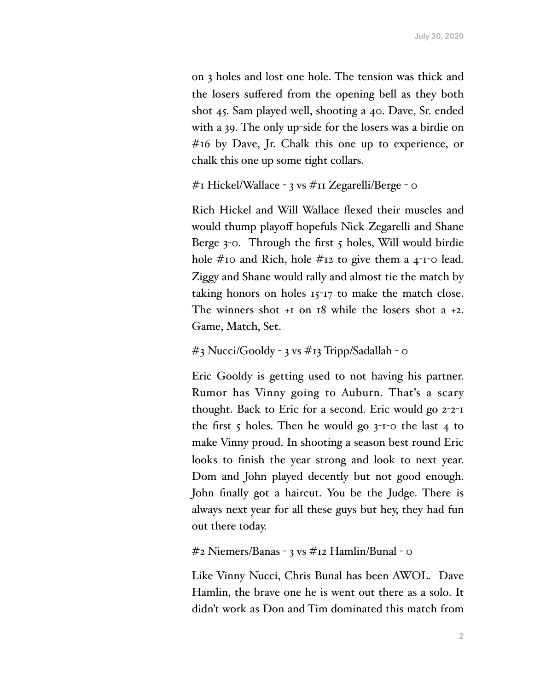on 3 holes and lost one hole. The tension was thick and the losers suffered from the opening bell as they both shot 45. Sam played well, shooting a 40. Dave, Sr. ended with a 39. The only up-side for the losers was a birdie on #16 by Dave, Jr. Chalk this one up to experience, or chalk this one up some tight collars.

```
#1 Hickel/Wallace - 3 vs #11 Zegarelli/Berge - 0
```
Rich Hickel and Will Wallace flexed their muscles and would thump playoff hopefuls Nick Zegarelli and Shane Berge 3-0. Through the first 5 holes, Will would birdie hole #10 and Rich, hole #12 to give them a 4-1-0 lead. Ziggy and Shane would rally and almost tie the match by taking honors on holes 15-17 to make the match close. The winners shot +1 on 18 while the losers shot a +2. Game, Match, Set.

## #3 Nucci/Gooldy - 3 vs #13 Tripp/Sadallah - 0

Eric Gooldy is getting used to not having his partner. Rumor has Vinny going to Auburn. That's a scary thought. Back to Eric for a second. Eric would go 2-2-1 the first 5 holes. Then he would go  $3$ -1-0 the last 4 to make Vinny proud. In shooting a season best round Eric looks to finish the year strong and look to next year. Dom and John played decently but not good enough. John finally got a haircut. You be the Judge. There is always next year for all these guys but hey, they had fun out there today.

```
#2 Niemers/Banas - 3 vs #12 Hamlin/Bunal - 0
```
Like Vinny Nucci, Chris Bunal has been AWOL. Dave Hamlin, the brave one he is went out there as a solo. It didn't work as Don and Tim dominated this match from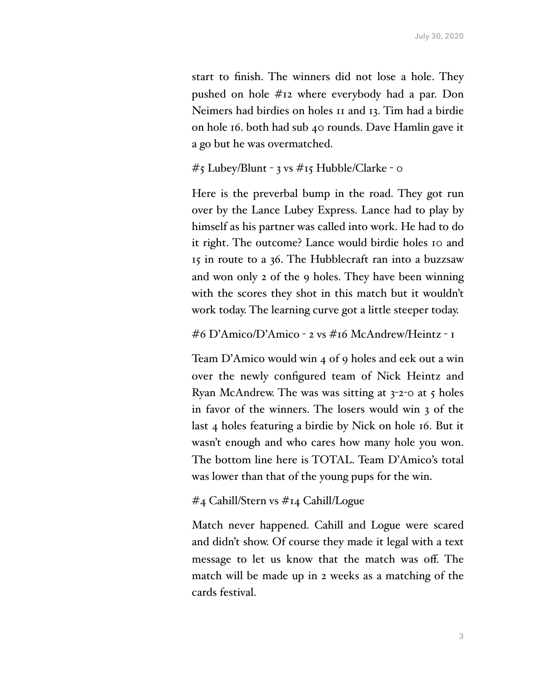start to finish. The winners did not lose a hole. They pushed on hole #12 where everybody had a par. Don Neimers had birdies on holes 11 and 13. Tim had a birdie on hole 16. both had sub 40 rounds. Dave Hamlin gave it a go but he was overmatched.

```
#5 Lubey/Blunt - 3 vs #15 Hubble/Clarke - 0
```
Here is the preverbal bump in the road. They got run over by the Lance Lubey Express. Lance had to play by himself as his partner was called into work. He had to do it right. The outcome? Lance would birdie holes 10 and 15 in route to a 36. The Hubblecraft ran into a buzzsaw and won only 2 of the 9 holes. They have been winning with the scores they shot in this match but it wouldn't work today. The learning curve got a little steeper today.

```
#6 D'Amico/D'Amico - 2 vs #16 McAndrew/Heintz - 1
```
Team D'Amico would win 4 of 9 holes and eek out a win over the newly configured team of Nick Heintz and Ryan McAndrew. The was was sitting at  $3$ -2-0 at  $5$  holes in favor of the winners. The losers would win 3 of the last 4 holes featuring a birdie by Nick on hole 16. But it wasn't enough and who cares how many hole you won. The bottom line here is TOTAL. Team D'Amico's total was lower than that of the young pups for the win.

## #4 Cahill/Stern vs #14 Cahill/Logue

Match never happened. Cahill and Logue were scared and didn't show. Of course they made it legal with a text message to let us know that the match was off. The match will be made up in 2 weeks as a matching of the cards festival.